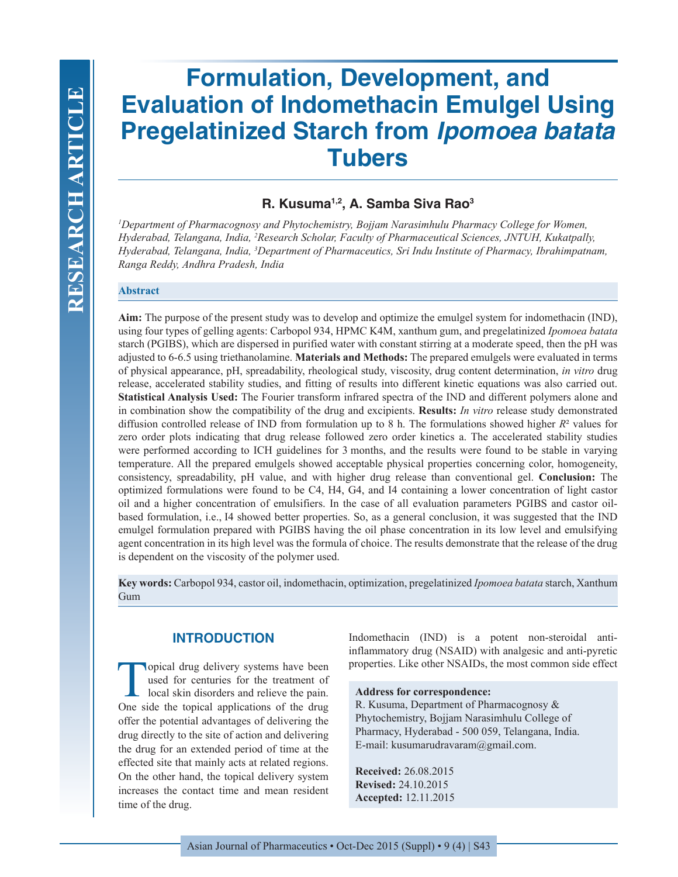# **Formulation, Development, and Evaluation of Indomethacin Emulgel Using Pregelatinized Starch from** *Ipomoea batata*  **Tubers**

## **R. Kusuma1,2, A. Samba Siva Rao3**

*1 Department of Pharmacognosy and Phytochemistry, Bojjam Narasimhulu Pharmacy College for Women, Hyderabad, Telangana, India, 2 Research Scholar, Faculty of Pharmaceutical Sciences, JNTUH, Kukatpally, Hyderabad, Telangana, India, 3 Department of Pharmaceutics, Sri Indu Institute of Pharmacy, Ibrahimpatnam, Ranga Reddy, Andhra Pradesh, India*

#### **Abstract**

**Aim:** The purpose of the present study was to develop and optimize the emulgel system for indomethacin (IND), using four types of gelling agents: Carbopol 934, HPMC K4M, xanthum gum, and pregelatinized *Ipomoea batata* starch (PGIBS), which are dispersed in purified water with constant stirring at a moderate speed, then the pH was adjusted to 6-6.5 using triethanolamine. **Materials and Methods:** The prepared emulgels were evaluated in terms of physical appearance, pH, spreadability, rheological study, viscosity, drug content determination, *in vitro* drug release, accelerated stability studies, and fitting of results into different kinetic equations was also carried out. **Statistical Analysis Used:** The Fourier transform infrared spectra of the IND and different polymers alone and in combination show the compatibility of the drug and excipients. **Results:** *In vitro* release study demonstrated diffusion controlled release of IND from formulation up to 8 h. The formulations showed higher *R*² values for zero order plots indicating that drug release followed zero order kinetics a. The accelerated stability studies were performed according to ICH guidelines for 3 months, and the results were found to be stable in varying temperature. All the prepared emulgels showed acceptable physical properties concerning color, homogeneity, consistency, spreadability, pH value, and with higher drug release than conventional gel. **Conclusion:** The optimized formulations were found to be C4, H4, G4, and I4 containing a lower concentration of light castor oil and a higher concentration of emulsifiers. In the case of all evaluation parameters PGIBS and castor oilbased formulation, i.e., I4 showed better properties. So, as a general conclusion, it was suggested that the IND emulgel formulation prepared with PGIBS having the oil phase concentration in its low level and emulsifying agent concentration in its high level was the formula of choice. The results demonstrate that the release of the drug is dependent on the viscosity of the polymer used.

 **Key words:** Carbopol 934, castor oil, indomethacin, optimization, pregelatinized *Ipomoea batata* starch, Xanthum Gum

## **INTRODUCTION**

Topical drug delivery systems have been<br>
used for centuries for the treatment of<br>
local skin disorders and relieve the pain.<br>
One side the tenised employees of the drug used for centuries for the treatment of One side the topical applications of the drug offer the potential advantages of delivering the drug directly to the site of action and delivering the drug for an extended period of time at the effected site that mainly acts at related regions. On the other hand, the topical delivery system increases the contact time and mean resident time of the drug.

Indomethacin (IND) is a potent non-steroidal antiinflammatory drug (NSAID) with analgesic and anti-pyretic properties. Like other NSAIDs, the most common side effect

#### **Address for correspondence:**

R. Kusuma, Department of Pharmacognosy & Phytochemistry, Bojjam Narasimhulu College of Pharmacy, Hyderabad - 500 059, Telangana, India. E-mail: kusumarudravaram@gmail.com.

**Received:** 26.08.2015 **Revised:** 24.10.2015 **Accepted:** 12.11.2015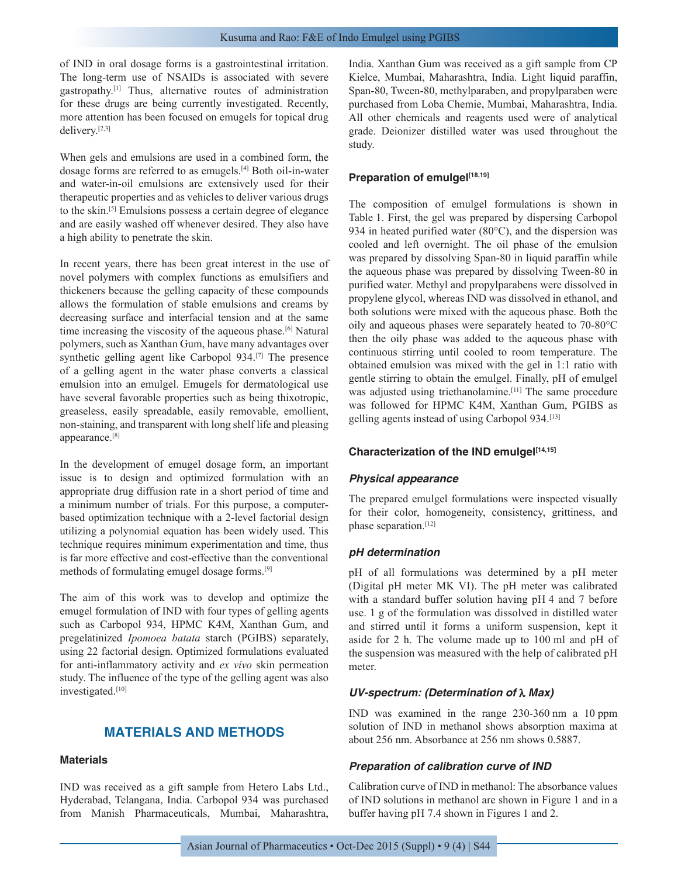of IND in oral dosage forms is a gastrointestinal irritation. The long-term use of NSAIDs is associated with severe gastropathy.[1] Thus, alternative routes of administration for these drugs are being currently investigated. Recently, more attention has been focused on emugels for topical drug delivery.[2,3]

When gels and emulsions are used in a combined form, the dosage forms are referred to as emugels.[4] Both oil-in-water and water-in-oil emulsions are extensively used for their therapeutic properties and as vehicles to deliver various drugs to the skin.[5] Emulsions possess a certain degree of elegance and are easily washed off whenever desired. They also have a high ability to penetrate the skin.

In recent years, there has been great interest in the use of novel polymers with complex functions as emulsifiers and thickeners because the gelling capacity of these compounds allows the formulation of stable emulsions and creams by decreasing surface and interfacial tension and at the same time increasing the viscosity of the aqueous phase.<sup>[6]</sup> Natural polymers, such as Xanthan Gum, have many advantages over synthetic gelling agent like Carbopol 934.[7] The presence of a gelling agent in the water phase converts a classical emulsion into an emulgel. Emugels for dermatological use have several favorable properties such as being thixotropic, greaseless, easily spreadable, easily removable, emollient, non-staining, and transparent with long shelf life and pleasing appearance.[8]

In the development of emugel dosage form, an important issue is to design and optimized formulation with an appropriate drug diffusion rate in a short period of time and a minimum number of trials. For this purpose, a computerbased optimization technique with a 2-level factorial design utilizing a polynomial equation has been widely used. This technique requires minimum experimentation and time, thus is far more effective and cost-effective than the conventional methods of formulating emugel dosage forms.[9]

The aim of this work was to develop and optimize the emugel formulation of IND with four types of gelling agents such as Carbopol 934, HPMC K4M, Xanthan Gum, and pregelatinized *Ipomoea batata* starch (PGIBS) separately, using 22 factorial design. Optimized formulations evaluated for anti-inflammatory activity and *ex vivo* skin permeation study. The influence of the type of the gelling agent was also investigated.<sup>[10]</sup>

## **MATERIALS AND METHODS**

## **Materials**

IND was received as a gift sample from Hetero Labs Ltd., Hyderabad, Telangana, India. Carbopol 934 was purchased from Manish Pharmaceuticals, Mumbai, Maharashtra, India. Xanthan Gum was received as a gift sample from CP Kielce, Mumbai, Maharashtra, India. Light liquid paraffin, Span-80, Tween-80, methylparaben, and propylparaben were purchased from Loba Chemie, Mumbai, Maharashtra, India. All other chemicals and reagents used were of analytical grade. Deionizer distilled water was used throughout the study.

## **Preparation of emulgel[18,19]**

The composition of emulgel formulations is shown in Table 1. First, the gel was prepared by dispersing Carbopol 934 in heated purified water (80°C), and the dispersion was cooled and left overnight. The oil phase of the emulsion was prepared by dissolving Span-80 in liquid paraffin while the aqueous phase was prepared by dissolving Tween-80 in purified water. Methyl and propylparabens were dissolved in propylene glycol, whereas IND was dissolved in ethanol, and both solutions were mixed with the aqueous phase. Both the oily and aqueous phases were separately heated to 70-80°C then the oily phase was added to the aqueous phase with continuous stirring until cooled to room temperature. The obtained emulsion was mixed with the gel in 1:1 ratio with gentle stirring to obtain the emulgel. Finally, pH of emulgel was adjusted using triethanolamine.<sup>[11]</sup> The same procedure was followed for HPMC K4M, Xanthan Gum, PGIBS as gelling agents instead of using Carbopol 934.<sup>[13]</sup>

## **Characterization of the IND emulgel[14,15]**

## *Physical appearance*

The prepared emulgel formulations were inspected visually for their color, homogeneity, consistency, grittiness, and phase separation.[12]

## *pH determination*

pH of all formulations was determined by a pH meter (Digital pH meter MK VI). The pH meter was calibrated with a standard buffer solution having pH 4 and 7 before use. 1 g of the formulation was dissolved in distilled water and stirred until it forms a uniform suspension, kept it aside for 2 h. The volume made up to 100 ml and pH of the suspension was measured with the help of calibrated pH meter.

## *UV-spectrum: (Determination of* λ *Max)*

IND was examined in the range 230-360 nm a 10 ppm solution of IND in methanol shows absorption maxima at about 256 nm. Absorbance at 256 nm shows 0.5887.

## *Preparation of calibration curve of IND*

Calibration curve of IND in methanol: The absorbance values of IND solutions in methanol are shown in Figure 1 and in a buffer having pH 7.4 shown in Figures 1 and 2.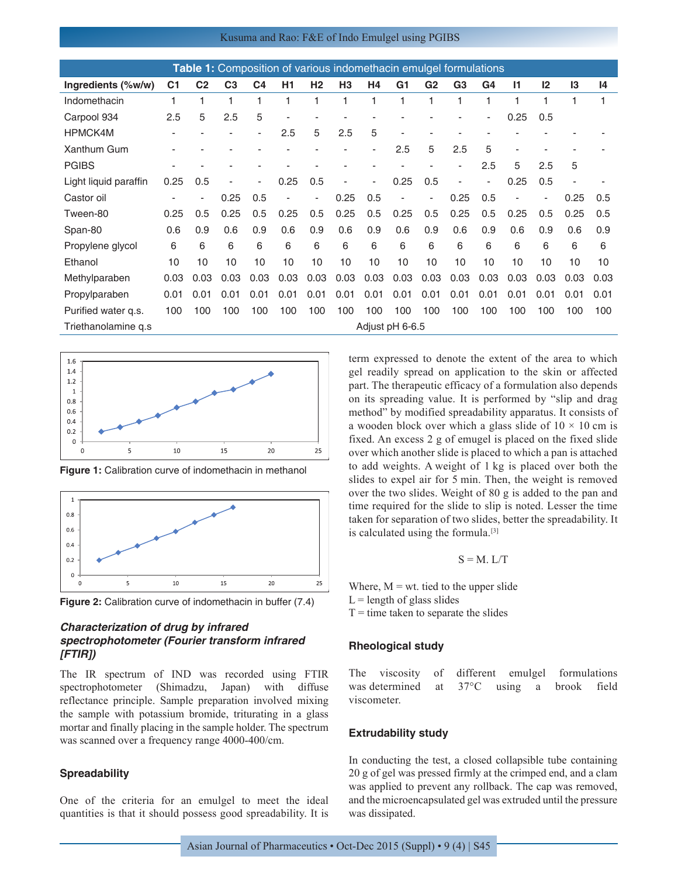#### Kusuma and Rao: F&E of Indo Emulgel using PGIBS

| <b>Table 1:</b> Composition of various indomethacin emulgel formulations |                |                |                |                          |      |                          |                |      |                 |                |                |      |              |      |      |      |
|--------------------------------------------------------------------------|----------------|----------------|----------------|--------------------------|------|--------------------------|----------------|------|-----------------|----------------|----------------|------|--------------|------|------|------|
| Ingredients (%w/w)                                                       | C <sub>1</sub> | C <sub>2</sub> | C <sub>3</sub> | C <sub>4</sub>           | H1   | H <sub>2</sub>           | H <sub>3</sub> | H4   | G <sub>1</sub>  | G <sub>2</sub> | G <sub>3</sub> | G4   | $\mathsf{I}$ | 12   | 13   | 14   |
| Indomethacin                                                             | 1              |                | 1              | 1                        | 1    |                          |                | 1    |                 | 1              | 1              | 1    |              |      |      |      |
| Carpool 934                                                              | 2.5            | 5              | 2.5            | 5                        | ٠    |                          |                |      |                 |                |                | ٠    | 0.25         | 0.5  |      |      |
| <b>HPMCK4M</b>                                                           |                |                |                | ٠                        | 2.5  | 5                        | 2.5            | 5    |                 |                |                |      |              |      |      |      |
| Xanthum Gum                                                              |                |                |                |                          |      |                          |                |      | 2.5             | 5              | 2.5            | 5    |              |      |      |      |
| <b>PGIBS</b>                                                             |                |                |                |                          |      |                          |                |      |                 |                |                | 2.5  | 5            | 2.5  | 5    |      |
| Light liquid paraffin                                                    | 0.25           | 0.5            |                | $\overline{\phantom{a}}$ | 0.25 | 0.5                      | ٠              | ٠    | 0.25            | 0.5            |                | ٠    | 0.25         | 0.5  |      |      |
| Castor oil                                                               |                |                | 0.25           | 0.5                      | ٠    | $\overline{\phantom{a}}$ | 0.25           | 0.5  |                 |                | 0.25           | 0.5  |              |      | 0.25 | 0.5  |
| Tween-80                                                                 | 0.25           | 0.5            | 0.25           | 0.5                      | 0.25 | 0.5                      | 0.25           | 0.5  | 0.25            | 0.5            | 0.25           | 0.5  | 0.25         | 0.5  | 0.25 | 0.5  |
| Span-80                                                                  | 0.6            | 0.9            | 0.6            | 0.9                      | 0.6  | 0.9                      | 0.6            | 0.9  | 0.6             | 0.9            | 0.6            | 0.9  | 0.6          | 0.9  | 0.6  | 0.9  |
| Propylene glycol                                                         | 6              | 6              | 6              | 6                        | 6    | 6                        | 6              | 6    | 6               | 6              | 6              | 6    | 6            | 6    | 6    | 6    |
| Ethanol                                                                  | 10             | 10             | 10             | 10                       | 10   | 10                       | 10             | 10   | 10              | 10             | 10             | 10   | 10           | 10   | 10   | 10   |
| Methylparaben                                                            | 0.03           | 0.03           | 0.03           | 0.03                     | 0.03 | 0.03                     | 0.03           | 0.03 | 0.03            | 0.03           | 0.03           | 0.03 | 0.03         | 0.03 | 0.03 | 0.03 |
| Propylparaben                                                            | 0.01           | 0.01           | 0.01           | 0.01                     | 0.01 | 0.01                     | 0.01           | 0.01 | 0.01            | 0.01           | 0.01           | 0.01 | 0.01         | 0.01 | 0.01 | 0.01 |
| Purified water q.s.                                                      | 100            | 100            | 100            | 100                      | 100  | 100                      | 100            | 100  | 100             | 100            | 100            | 100  | 100          | 100  | 100  | 100  |
| Triethanolamine q.s.                                                     |                |                |                |                          |      |                          |                |      | Adjust pH 6-6.5 |                |                |      |              |      |      |      |



**Figure 1:** Calibration curve of indomethacin in methanol



**Figure 2:** Calibration curve of indomethacin in buffer (7.4)

## *Characterization of drug by infrared spectrophotometer (Fourier transform infrared [FTIR])*

The IR spectrum of IND was recorded using FTIR spectrophotometer (Shimadzu, Japan) with diffuse reflectance principle. Sample preparation involved mixing the sample with potassium bromide, triturating in a glass mortar and finally placing in the sample holder. The spectrum was scanned over a frequency range 4000-400/cm.

#### **Spreadability**

One of the criteria for an emulgel to meet the ideal quantities is that it should possess good spreadability. It is term expressed to denote the extent of the area to which gel readily spread on application to the skin or affected part. The therapeutic efficacy of a formulation also depends on its spreading value. It is performed by "slip and drag method" by modified spreadability apparatus. It consists of a wooden block over which a glass slide of  $10 \times 10$  cm is fixed. An excess 2 g of emugel is placed on the fixed slide over which another slide is placed to which a pan is attached to add weights. A weight of 1 kg is placed over both the slides to expel air for 5 min. Then, the weight is removed over the two slides. Weight of 80 g is added to the pan and time required for the slide to slip is noted. Lesser the time taken for separation of two slides, better the spreadability. It is calculated using the formula.[3]

 $S = M. L/T$ 

Where,  $M = wt$ , tied to the upper slide  $L =$  length of glass slides  $T =$  time taken to separate the slides

#### **Rheological study**

The viscosity of different emulgel formulations was determined at 37°C using a brook field viscometer.

#### **Extrudability study**

In conducting the test, a closed collapsible tube containing 20 g of gel was pressed firmly at the crimped end, and a clam was applied to prevent any rollback. The cap was removed, and the microencapsulated gel was extruded until the pressure was dissipated.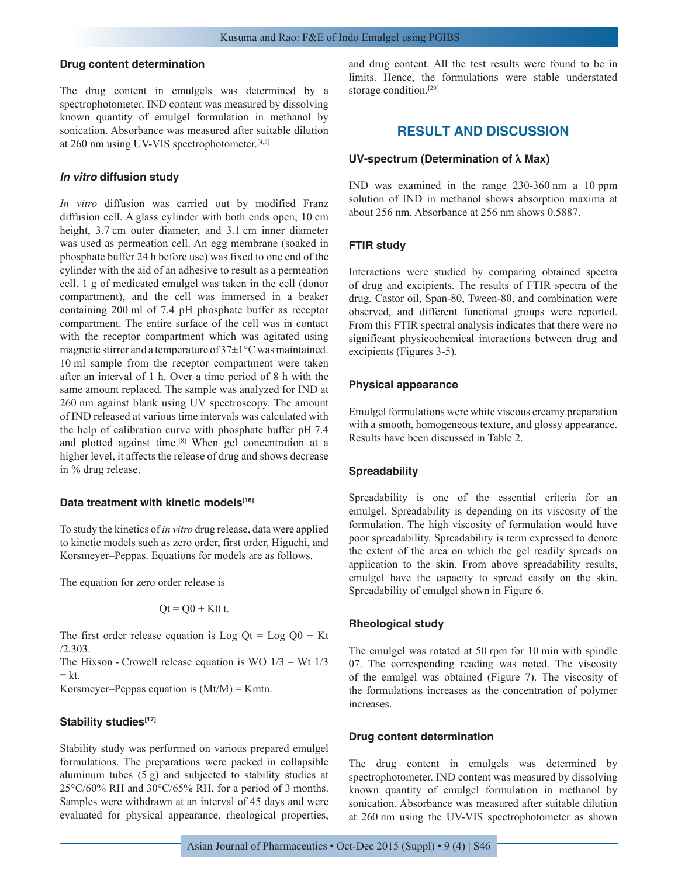#### **Drug content determination**

The drug content in emulgels was determined by a spectrophotometer. IND content was measured by dissolving known quantity of emulgel formulation in methanol by sonication. Absorbance was measured after suitable dilution at 260 nm using UV-VIS spectrophotometer.<sup>[4,5]</sup>

#### *In vitro* **diffusion study**

*In vitro* diffusion was carried out by modified Franz diffusion cell. A glass cylinder with both ends open, 10 cm height, 3.7 cm outer diameter, and 3.1 cm inner diameter was used as permeation cell. An egg membrane (soaked in phosphate buffer 24 h before use) was fixed to one end of the cylinder with the aid of an adhesive to result as a permeation cell. 1 g of medicated emulgel was taken in the cell (donor compartment), and the cell was immersed in a beaker containing 200 ml of 7.4 pH phosphate buffer as receptor compartment. The entire surface of the cell was in contact with the receptor compartment which was agitated using magnetic stirrer and a temperature of 37±1°C was maintained. 10 ml sample from the receptor compartment were taken after an interval of 1 h. Over a time period of 8 h with the same amount replaced. The sample was analyzed for IND at 260 nm against blank using UV spectroscopy. The amount of IND released at various time intervals was calculated with the help of calibration curve with phosphate buffer pH 7.4 and plotted against time.<sup>[8]</sup> When gel concentration at a higher level, it affects the release of drug and shows decrease in % drug release.

#### **Data treatment with kinetic models[16]**

To study the kinetics of *in vitro* drug release, data were applied to kinetic models such as zero order, first order, Higuchi, and Korsmeyer–Peppas. Equations for models are as follows.

The equation for zero order release is

$$
Qt = Q0 + K0 t.
$$

The first order release equation is Log  $Qt = Log Q0 + Kt$ /2.303.

The Hixson - Crowell release equation is WO  $1/3$  – Wt  $1/3$  $= k t$ 

Korsmeyer–Peppas equation is  $(Mt/M) = Kmtn$ .

#### Stability studies<sup>[17]</sup>

Stability study was performed on various prepared emulgel formulations. The preparations were packed in collapsible aluminum tubes (5 g) and subjected to stability studies at 25°C/60% RH and 30°C/65% RH, for a period of 3 months. Samples were withdrawn at an interval of 45 days and were evaluated for physical appearance, rheological properties, and drug content. All the test results were found to be in limits. Hence, the formulations were stable understated storage condition.<sup>[20]</sup>

## **RESULT AND DISCUSSION**

#### **UV-spectrum (Determination of** λ **Max)**

IND was examined in the range 230-360 nm a 10 ppm solution of IND in methanol shows absorption maxima at about 256 nm. Absorbance at 256 nm shows 0.5887.

#### **FTIR study**

Interactions were studied by comparing obtained spectra of drug and excipients. The results of FTIR spectra of the drug, Castor oil, Span-80, Tween-80, and combination were observed, and different functional groups were reported. From this FTIR spectral analysis indicates that there were no significant physicochemical interactions between drug and excipients (Figures 3-5).

#### **Physical appearance**

Emulgel formulations were white viscous creamy preparation with a smooth, homogeneous texture, and glossy appearance. Results have been discussed in Table 2.

#### **Spreadability**

Spreadability is one of the essential criteria for an emulgel. Spreadability is depending on its viscosity of the formulation. The high viscosity of formulation would have poor spreadability. Spreadability is term expressed to denote the extent of the area on which the gel readily spreads on application to the skin. From above spreadability results, emulgel have the capacity to spread easily on the skin. Spreadability of emulgel shown in Figure 6.

#### **Rheological study**

The emulgel was rotated at 50 rpm for 10 min with spindle 07. The corresponding reading was noted. The viscosity of the emulgel was obtained (Figure 7). The viscosity of the formulations increases as the concentration of polymer increases.

## **Drug content determination**

The drug content in emulgels was determined by spectrophotometer. IND content was measured by dissolving known quantity of emulgel formulation in methanol by sonication. Absorbance was measured after suitable dilution at 260 nm using the UV-VIS spectrophotometer as shown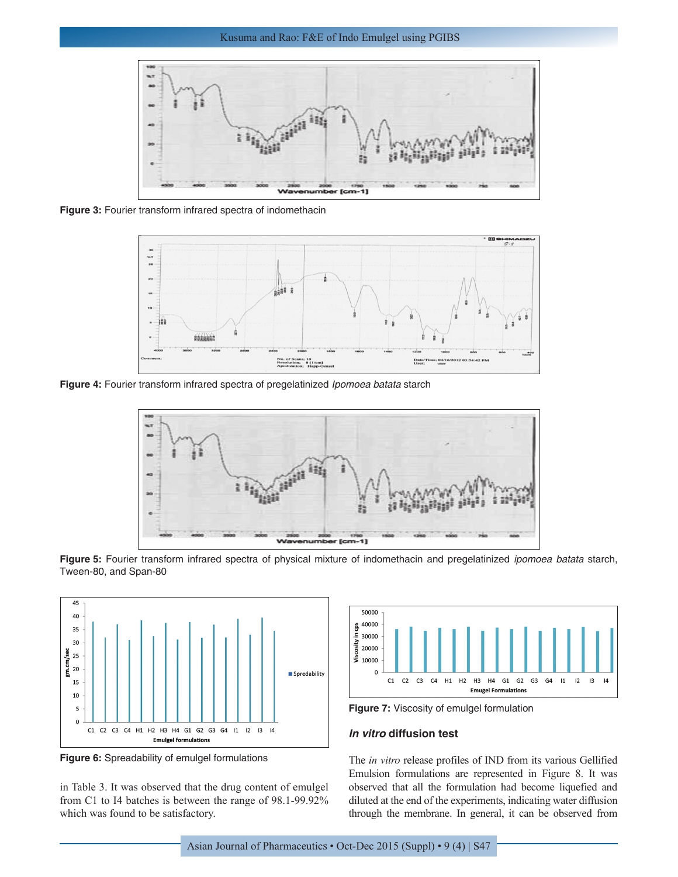

**Figure 3:** Fourier transform infrared spectra of indomethacin



**Figure 4:** Fourier transform infrared spectra of pregelatinized *Ipomoea batata* starch



**Figure 5:** Fourier transform infrared spectra of physical mixture of indomethacin and pregelatinized *ipomoea batata* starch, Tween-80, and Span-80



**Figure 6:** Spreadability of emulgel formulations

in Table 3. It was observed that the drug content of emulgel from C1 to I4 batches is between the range of 98.1-99.92% which was found to be satisfactory.



**Figure 7:** Viscosity of emulgel formulation

### *In vitro* **diffusion test**

The *in vitro* release profiles of IND from its various Gellified Emulsion formulations are represented in Figure 8. It was observed that all the formulation had become liquefied and diluted at the end of the experiments, indicating water diffusion through the membrane. In general, it can be observed from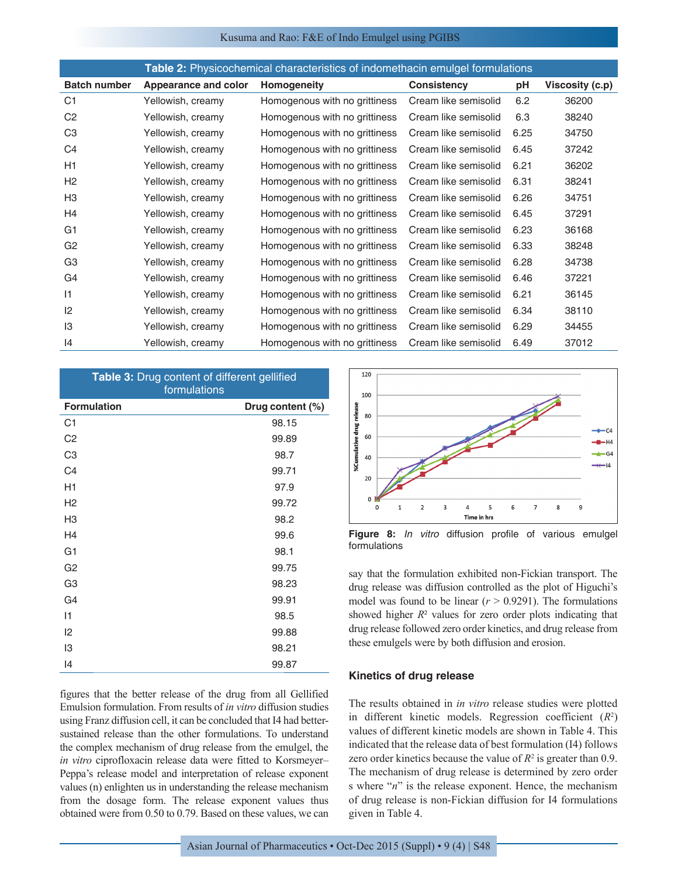#### Kusuma and Rao: F&E of Indo Emulgel using PGIBS

| <b>Table 2:</b> Physicochemical characteristics of indomethacin emulgel formulations |  |  |  |
|--------------------------------------------------------------------------------------|--|--|--|
|                                                                                      |  |  |  |

| <b>Batch number</b> | Appearance and color | Homogeneity                   | <b>Consistency</b>   | pH   | Viscosity (c.p) |
|---------------------|----------------------|-------------------------------|----------------------|------|-----------------|
| C <sub>1</sub>      | Yellowish, creamy    | Homogenous with no grittiness | Cream like semisolid | 6.2  | 36200           |
| C <sub>2</sub>      | Yellowish, creamy    | Homogenous with no grittiness | Cream like semisolid | 6.3  | 38240           |
| C <sub>3</sub>      | Yellowish, creamy    | Homogenous with no grittiness | Cream like semisolid | 6.25 | 34750           |
| C <sub>4</sub>      | Yellowish, creamy    | Homogenous with no grittiness | Cream like semisolid | 6.45 | 37242           |
| H1                  | Yellowish, creamy    | Homogenous with no grittiness | Cream like semisolid | 6.21 | 36202           |
| H <sub>2</sub>      | Yellowish, creamy    | Homogenous with no grittiness | Cream like semisolid | 6.31 | 38241           |
| H <sub>3</sub>      | Yellowish, creamy    | Homogenous with no grittiness | Cream like semisolid | 6.26 | 34751           |
| H4                  | Yellowish, creamy    | Homogenous with no grittiness | Cream like semisolid | 6.45 | 37291           |
| G <sub>1</sub>      | Yellowish, creamy    | Homogenous with no grittiness | Cream like semisolid | 6.23 | 36168           |
| G <sub>2</sub>      | Yellowish, creamy    | Homogenous with no grittiness | Cream like semisolid | 6.33 | 38248           |
| G <sub>3</sub>      | Yellowish, creamy    | Homogenous with no grittiness | Cream like semisolid | 6.28 | 34738           |
| G <sub>4</sub>      | Yellowish, creamy    | Homogenous with no grittiness | Cream like semisolid | 6.46 | 37221           |
| 1                   | Yellowish, creamy    | Homogenous with no grittiness | Cream like semisolid | 6.21 | 36145           |
| 2                   | Yellowish, creamy    | Homogenous with no grittiness | Cream like semisolid | 6.34 | 38110           |
| 13                  | Yellowish, creamy    | Homogenous with no grittiness | Cream like semisolid | 6.29 | 34455           |
| 4                   | Yellowish, creamy    | Homogenous with no grittiness | Cream like semisolid | 6.49 | 37012           |

| Table 3: Drug content of different gellified<br>formulations |                  |  |  |  |  |  |  |
|--------------------------------------------------------------|------------------|--|--|--|--|--|--|
| <b>Formulation</b>                                           | Drug content (%) |  |  |  |  |  |  |
| C <sub>1</sub>                                               | 98.15            |  |  |  |  |  |  |
| C <sub>2</sub>                                               | 99.89            |  |  |  |  |  |  |
| C <sub>3</sub>                                               | 98.7             |  |  |  |  |  |  |
| C <sub>4</sub>                                               | 99.71            |  |  |  |  |  |  |
| H1                                                           | 97.9             |  |  |  |  |  |  |
| H <sub>2</sub>                                               | 99.72            |  |  |  |  |  |  |
| H <sub>3</sub>                                               | 98.2             |  |  |  |  |  |  |
| H4                                                           | 99.6             |  |  |  |  |  |  |
| G <sub>1</sub>                                               | 98.1             |  |  |  |  |  |  |
| G <sub>2</sub>                                               | 99.75            |  |  |  |  |  |  |
| G <sub>3</sub>                                               | 98.23            |  |  |  |  |  |  |
| G4                                                           | 99.91            |  |  |  |  |  |  |
| $\vert$ 1                                                    | 98.5             |  |  |  |  |  |  |
| 2                                                            | 99.88            |  |  |  |  |  |  |
| 13                                                           | 98.21            |  |  |  |  |  |  |
| 14                                                           | 99.87            |  |  |  |  |  |  |

figures that the better release of the drug from all Gellified Emulsion formulation. From results of *in vitro* diffusion studies using Franz diffusion cell, it can be concluded that I4 had bettersustained release than the other formulations. To understand the complex mechanism of drug release from the emulgel, the *in vitro* ciprofloxacin release data were fitted to Korsmeyer– Peppa's release model and interpretation of release exponent values (n) enlighten us in understanding the release mechanism from the dosage form. The release exponent values thus obtained were from 0.50 to 0.79. Based on these values, we can



**Figure 8:** *In vitro* diffusion profile of various emulgel formulations

say that the formulation exhibited non-Fickian transport. The drug release was diffusion controlled as the plot of Higuchi's model was found to be linear  $(r > 0.9291)$ . The formulations showed higher  $R$ <sup>2</sup> values for zero order plots indicating that drug release followed zero order kinetics, and drug release from these emulgels were by both diffusion and erosion.

#### **Kinetics of drug release**

The results obtained in *in vitro* release studies were plotted in different kinetic models. Regression coefficient (*R*<sup>2</sup> ) values of different kinetic models are shown in Table 4. This indicated that the release data of best formulation (I4) follows zero order kinetics because the value of  $R^2$  is greater than 0.9. The mechanism of drug release is determined by zero order s where "*n*" is the release exponent. Hence, the mechanism of drug release is non-Fickian diffusion for I4 formulations given in Table 4.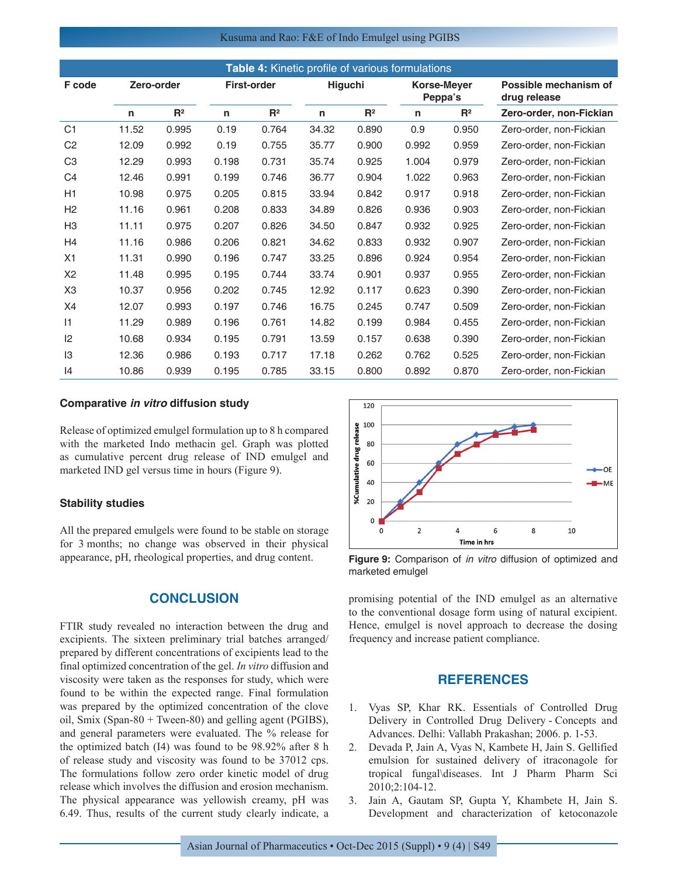#### Kusuma and Rao: F&E of Indo Emulgel using PGIBS

| Table 4: Kinetic profile of various formulations |            |       |                    |                |         |                |                        |       |                                       |  |
|--------------------------------------------------|------------|-------|--------------------|----------------|---------|----------------|------------------------|-------|---------------------------------------|--|
| F code                                           | Zero-order |       | <b>First-order</b> |                | Higuchi |                | Korse-Meyer<br>Peppa's |       | Possible mechanism of<br>drug release |  |
|                                                  | n          | $R^2$ | n                  | R <sup>2</sup> | n       | R <sup>2</sup> | n                      | $R^2$ | Zero-order, non-Fickian               |  |
| C <sub>1</sub>                                   | 11.52      | 0.995 | 0.19               | 0.764          | 34.32   | 0.890          | 0.9                    | 0.950 | Zero-order, non-Fickian               |  |
| C <sub>2</sub>                                   | 12.09      | 0.992 | 0.19               | 0.755          | 35.77   | 0.900          | 0.992                  | 0.959 | Zero-order, non-Fickian               |  |
| C <sub>3</sub>                                   | 12.29      | 0.993 | 0.198              | 0.731          | 35.74   | 0.925          | 1.004                  | 0.979 | Zero-order, non-Fickian               |  |
| C <sub>4</sub>                                   | 12.46      | 0.991 | 0.199              | 0.746          | 36.77   | 0.904          | 1.022                  | 0.963 | Zero-order, non-Fickian               |  |
| H1                                               | 10.98      | 0.975 | 0.205              | 0.815          | 33.94   | 0.842          | 0.917                  | 0.918 | Zero-order, non-Fickian               |  |
| H <sub>2</sub>                                   | 11.16      | 0.961 | 0.208              | 0.833          | 34.89   | 0.826          | 0.936                  | 0.903 | Zero-order, non-Fickian               |  |
| H <sub>3</sub>                                   | 11.11      | 0.975 | 0.207              | 0.826          | 34.50   | 0.847          | 0.932                  | 0.925 | Zero-order, non-Fickian               |  |
| H <sub>4</sub>                                   | 11.16      | 0.986 | 0.206              | 0.821          | 34.62   | 0.833          | 0.932                  | 0.907 | Zero-order, non-Fickian               |  |
| X1                                               | 11.31      | 0.990 | 0.196              | 0.747          | 33.25   | 0.896          | 0.924                  | 0.954 | Zero-order, non-Fickian               |  |
| X <sub>2</sub>                                   | 11.48      | 0.995 | 0.195              | 0.744          | 33.74   | 0.901          | 0.937                  | 0.955 | Zero-order, non-Fickian               |  |
| X <sub>3</sub>                                   | 10.37      | 0.956 | 0.202              | 0.745          | 12.92   | 0.117          | 0.623                  | 0.390 | Zero-order, non-Fickian               |  |
| X4                                               | 12.07      | 0.993 | 0.197              | 0.746          | 16.75   | 0.245          | 0.747                  | 0.509 | Zero-order, non-Fickian               |  |
| 1                                                | 11.29      | 0.989 | 0.196              | 0.761          | 14.82   | 0.199          | 0.984                  | 0.455 | Zero-order, non-Fickian               |  |
| 12                                               | 10.68      | 0.934 | 0.195              | 0.791          | 13.59   | 0.157          | 0.638                  | 0.390 | Zero-order, non-Fickian               |  |
| $\mathsf{I}3$                                    | 12.36      | 0.986 | 0.193              | 0.717          | 17.18   | 0.262          | 0.762                  | 0.525 | Zero-order, non-Fickian               |  |
| 4                                                | 10.86      | 0.939 | 0.195              | 0.785          | 33.15   | 0.800          | 0.892                  | 0.870 | Zero-order, non-Fickian               |  |

#### **Comparative** *in vitro* **diffusion study**

Release of optimized emulgel formulation up to 8 h compared with the marketed Indo methacin gel. Graph was plotted as cumulative percent drug release of IND emulgel and marketed IND gel versus time in hours (Figure 9).

#### **Stability studies**

All the prepared emulgels were found to be stable on storage for 3 months; no change was observed in their physical appearance, pH, rheological properties, and drug content.

## **CONCLUSION**

FTIR study revealed no interaction between the drug and excipients. The sixteen preliminary trial batches arranged/ prepared by different concentrations of excipients lead to the final optimized concentration of the gel. *In vitro* diffusion and viscosity were taken as the responses for study, which were found to be within the expected range. Final formulation was prepared by the optimized concentration of the clove oil, Smix (Span-80 + Tween-80) and gelling agent (PGIBS), and general parameters were evaluated. The % release for the optimized batch (I4) was found to be 98.92% after 8 h of release study and viscosity was found to be 37012 cps. The formulations follow zero order kinetic model of drug release which involves the diffusion and erosion mechanism. The physical appearance was yellowish creamy, pH was 6.49. Thus, results of the current study clearly indicate, a



**Figure 9:** Comparison of *in vitro* diffusion of optimized and marketed emulgel

promising potential of the IND emulgel as an alternative to the conventional dosage form using of natural excipient. Hence, emulgel is novel approach to decrease the dosing frequency and increase patient compliance.

## **REFERENCES**

- 1. Vyas SP, Khar RK. Essentials of Controlled Drug Delivery in Controlled Drug Delivery - Concepts and Advances. Delhi: Vallabh Prakashan; 2006. p. 1-53.
- 2. Devada P, Jain A, Vyas N, Kambete H, Jain S. Gellified emulsion for sustained delivery of itraconagole for tropical fungal\diseases. Int J Pharm Pharm Sci 2010;2:104-12.
- 3. Jain A, Gautam SP, Gupta Y, Khambete H, Jain S. Development and characterization of ketoconazole